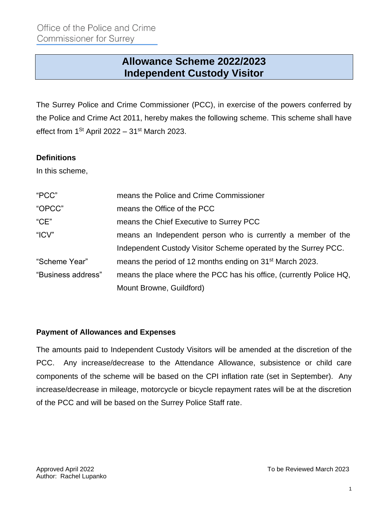# **Allowance Scheme 2022/2023 Independent Custody Visitor**

The Surrey Police and Crime Commissioner (PCC), in exercise of the powers conferred by the Police and Crime Act 2011, hereby makes the following scheme. This scheme shall have effect from 1<sup>St</sup> April 2022 – 31<sup>st</sup> March 2023.

#### **Definitions**

In this scheme,

| "PCC"              | means the Police and Crime Commissioner                              |
|--------------------|----------------------------------------------------------------------|
| "OPCC"             | means the Office of the PCC                                          |
| "CE"               | means the Chief Executive to Surrey PCC                              |
| "ICV"              | means an Independent person who is currently a member of the         |
|                    | Independent Custody Visitor Scheme operated by the Surrey PCC.       |
| "Scheme Year"      | means the period of 12 months ending on 31 <sup>st</sup> March 2023. |
| "Business address" | means the place where the PCC has his office, (currently Police HQ,  |
|                    | Mount Browne, Guildford)                                             |

#### **Payment of Allowances and Expenses**

The amounts paid to Independent Custody Visitors will be amended at the discretion of the PCC. Any increase/decrease to the Attendance Allowance, subsistence or child care components of the scheme will be based on the CPI inflation rate (set in September). Any increase/decrease in mileage, motorcycle or bicycle repayment rates will be at the discretion of the PCC and will be based on the Surrey Police Staff rate.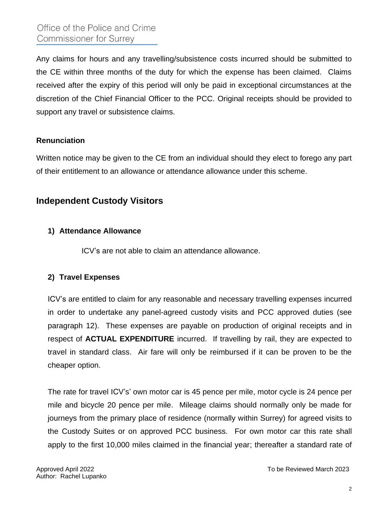Any claims for hours and any travelling/subsistence costs incurred should be submitted to the CE within three months of the duty for which the expense has been claimed. Claims received after the expiry of this period will only be paid in exceptional circumstances at the discretion of the Chief Financial Officer to the PCC. Original receipts should be provided to support any travel or subsistence claims.

#### **Renunciation**

Written notice may be given to the CE from an individual should they elect to forego any part of their entitlement to an allowance or attendance allowance under this scheme.

# **Independent Custody Visitors**

#### **1) Attendance Allowance**

ICV's are not able to claim an attendance allowance.

#### **2) Travel Expenses**

ICV's are entitled to claim for any reasonable and necessary travelling expenses incurred in order to undertake any panel-agreed custody visits and PCC approved duties (see paragraph 12). These expenses are payable on production of original receipts and in respect of **ACTUAL EXPENDITURE** incurred. If travelling by rail, they are expected to travel in standard class. Air fare will only be reimbursed if it can be proven to be the cheaper option.

The rate for travel ICV's' own motor car is 45 pence per mile, motor cycle is 24 pence per mile and bicycle 20 pence per mile. Mileage claims should normally only be made for journeys from the primary place of residence (normally within Surrey) for agreed visits to the Custody Suites or on approved PCC business. For own motor car this rate shall apply to the first 10,000 miles claimed in the financial year; thereafter a standard rate of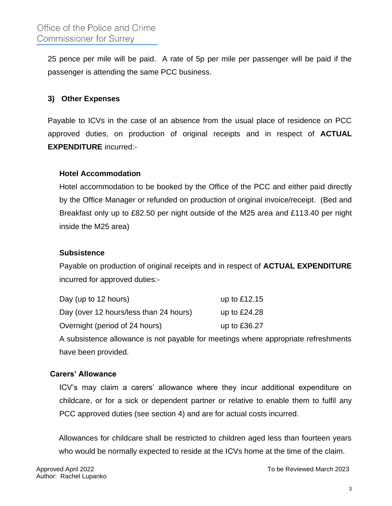25 pence per mile will be paid. A rate of 5p per mile per passenger will be paid if the passenger is attending the same PCC business.

### **3) Other Expenses**

Payable to ICVs in the case of an absence from the usual place of residence on PCC approved duties, on production of original receipts and in respect of **ACTUAL EXPENDITURE** incurred:-

#### **Hotel Accommodation**

Hotel accommodation to be booked by the Office of the PCC and either paid directly by the Office Manager or refunded on production of original invoice/receipt. (Bed and Breakfast only up to £82.50 per night outside of the M25 area and £113.40 per night inside the M25 area)

#### **Subsistence**

Payable on production of original receipts and in respect of **ACTUAL EXPENDITURE** incurred for approved duties:-

| Day (up to 12 hours)                   | up to £12.15 |
|----------------------------------------|--------------|
| Day (over 12 hours/less than 24 hours) | up to £24.28 |
| Overnight (period of 24 hours)         | up to £36.27 |

A subsistence allowance is not payable for meetings where appropriate refreshments have been provided.

#### **Carers' Allowance**

ICV's may claim a carers' allowance where they incur additional expenditure on childcare, or for a sick or dependent partner or relative to enable them to fulfil any PCC approved duties (see section 4) and are for actual costs incurred.

Allowances for childcare shall be restricted to children aged less than fourteen years who would be normally expected to reside at the ICVs home at the time of the claim.

Approved April 2022 To be Reviewed March 2023